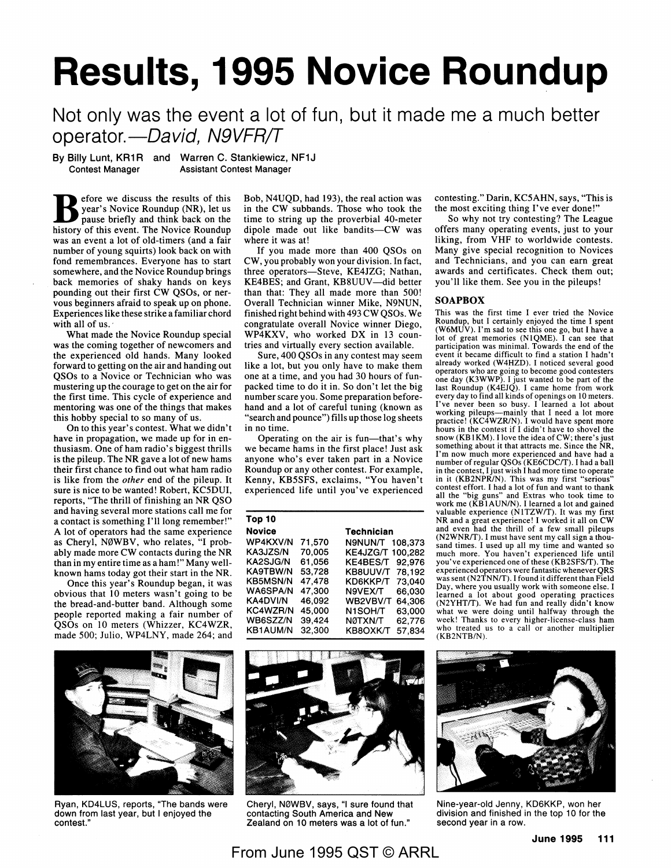# **Results, 1995 Novice Roundup**

## Not only was the event a lot of fun, but it made me a much better operator.- David, N9VFR/T

By Billy Lunt, KR1R and Warren C. Stankiewicz, NF1J<br>Contest Manager Assistant Contest Manager **Assistant Contest Manager** 

**B** efore we discuss the results of this year's Novice Roundup (NR), let us nause briefly and think back on the pause briefly and think back on the history of this event. The Novice Roundup was an event a lot of old-timers (and a fair number of young squirts) look back on with fond remembrances. Everyone has to start somewhere, and the Novice Roundup brings back memories of shaky hands on keys pounding out their first CW QSOs, or nervous beginners afraid to speak up on phone. Experiences like these strike a familiar chord with all of us.

What made the Novice Roundup special was the coming together of newcomers and the experienced old hands. Many looked forward to getting on the air and handing out QSOs to a Novice or Technician who was mustering up the courage to get on the air for the first time. This cycle of experience and mentoring was one of the things that makes this hobby special to so many of us.

On to this year's contest. What we didn't have in propagation, we made up for in enthusiasm. One of ham radio's biggest thrills is the pileup. The NR gave a lot of new hams their first chance to find out what ham radio is like from the *other* end of the pileup. It sure is nice to be wanted! Robert,  $\overline{K}C5\overline{D}UI$ , reports, "The thrill of finishing an **NR** QSO and having several more stations call me for a contact is something I'll long remember!" A lot of operators had the same experience as Cheryl, NØWBV, who relates, "I probably made more CW contacts during the NR than in my entire time as a ham!" Many wellknown hams today got their start in the NR.

Once this year's Roundup began, it was obvious that 10 meters wasn't going to be the bread-and-butter band. Although some people reported making a fair number of QSOs on 10 meters (Whizzer, KC4WZR, made 500; Julio, WP4LNY, made 264; and



Ryan, KD4LUS, reports, "The bands were down from last year, but I enjoyed the contest."

Bob, N4UQD, had 193), the real action was in the CW subbands. Those who took the time to string up the proverbial 40-meter dipole made out like bandits-CW was where it was at!

If you made more than 400 QSOs on CW, you probably won your division. In fact, three operators-Steve, KE4JZG; Nathan, KE4BES; and Grant, KB8UUV-did better than that: They all made more than 500! Overall Technician winner Mike, N9NUN, finished right behind with 493 CW QSOs. We congratulate overall Novice winner Diego, WP4KXV, who worked DX in 13 countries and virtually every section available.

Sure, 400 QSOs in any contest may seem like a lot, but you only have to make them one at a time, and you had 30 hours of funpacked time to do it in. So don't let the big number scare you. Some preparation beforehand and a lot of careful tuning (known as "search and pounce") fills up those log sheets in no time.

Operating on the air is fun-that's why we became hams in the first place! Just ask anyone who's ever taken part in a Novice Roundup or any other contest. For example, Kenny, KB5SFS, exclaims, "You haven't experienced life until you've experienced

| Top 10          |        |                     |
|-----------------|--------|---------------------|
| <b>Novice</b>   |        | <b>Technician</b>   |
| <b>WP4KXV/N</b> | 71.570 | N9NUN/T<br>108,373  |
| KA3JZS/N        | 70,005 | KE4JZG/T<br>100.282 |
| <b>KA2SJG/N</b> | 61.056 | KE4BES/T<br>92.976  |
| KA9TBW/N        | 53,728 | 78.192<br>KB8UUV/T  |
| <b>KB5MSN/N</b> | 47.478 | 73,040<br>KD6KKP/T  |
| <b>WA6SPA/N</b> | 47.300 | 66.030<br>N9VEX/T   |
| <b>KA4DVI/N</b> | 46.092 | 64,306<br>WB2VBV/T  |
| <b>KC4WZR/N</b> | 45.000 | 63.000<br>N1SOH/T   |
| WB6SZZ/N        | 39,424 | 62,776<br>NØTXN/T   |
| <b>KB1AUM/N</b> | 32,300 | 57.834<br>KB8OXK/T  |



Cheryl, N0WBV, says, "I sure found that contacting South America and New Zealand on 10 meters was a lot of fun."

contesting." Darin, KC5AHN, says, "This is the most exciting thing I've ever done!"

So why not try contesting? The League offers many operating events, just to your liking, from VHF to worldwide contests. Many give special recognition to Novices and Technicians, and you can earn great awards and certificates. Check them out; you'll like them. See you in the pileups!

#### **SOAPBOX**

This was the first time I ever tried the Novice Roundup, but I certainly enjoyed the time I spent (W6MUV). I'm sad to see this one go, but I have a lot of great memories (NIQME). I can see that participation was minimal. Towards the end of the event it became difficult to find a station I hadn't already worked (W4HZD). I noticed several good operators who are going to become good contesters one day (K3WWP). I just wanted to be part of the last Roundup (K4EJQ). I came home from work every day to find all kinds of openings on IO meters. I've never been so busy. I learned a lot about working pileups-mainly that I need a lot more practice! (KC4WZR/N). I would have spent more hours in the contest if I didn't have to shovel the snow (KB1KM). I love the idea of CW; there's just something about it that attracts me. Since the NR, I'm now much more experienced and have had a number of regular QSOs (KE6CDC/T). I had a ball in the contest, I just wish I had more time to operate in it (KB2NPR/N). This was my first "serious" contest effort. I had a lot of fun and want to thank all the "big guns" and Extras who took time to work me  $(K\overline{B}1AUN/N)$ . I learned a lot and gained valuable experience (NlTZW/T). It was my first NR and a great experience! I worked it all on CW and even had the thrill of a few small pileups (N2WNR/T). I must have sent my call sign a thou-sand times. I used up all my time and wanted so much more. You haven't experienced life until you've experienced one of these (KB2SFS/T). The experienced operators were fantastic whenever QRS was sent (N2TNN/T). I found it different than Field Day, where you usually work with someone else. I learned a lot about good operating practices (N2YHT/T). We had fun and really didn't know what we were doing until halfway through the week! Thanks to every higher-license-class ham who treated us to a call or another multiplier (KB2NTB/N).



Nine-year-old Jenny, KD6KKP, won her division and finished in the top 10 for the second year in a row.

From June 1995 QST © ARRL